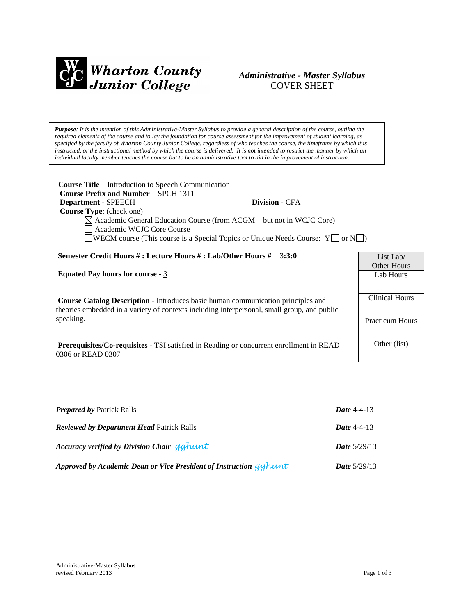

# *Administrative - Master Syllabus*  COVER SHEET

*Purpose: It is the intention of this Administrative-Master Syllabus to provide a general description of the course, outline the required elements of the course and to lay the foundation for course assessment for the improvement of student learning, as specified by the faculty of Wharton County Junior College, regardless of who teaches the course, the timeframe by which it is instructed, or the instructional method by which the course is delivered. It is not intended to restrict the manner by which an individual faculty member teaches the course but to be an administrative tool to aid in the improvement of instruction.*

| <b>Course Title</b> – Introduction to Speech Communication<br>Course Prefix and Number – SPCH 1311                  |                       |                        |
|---------------------------------------------------------------------------------------------------------------------|-----------------------|------------------------|
| Department - SPEECH                                                                                                 | <b>Division - CFA</b> |                        |
| <b>Course Type:</b> (check one)                                                                                     |                       |                        |
| $\boxtimes$ Academic General Education Course (from ACGM – but not in WCJC Core)<br>Academic WCJC Core Course       |                       |                        |
| <b>WECM</b> course (This course is a Special Topics or Unique Needs Course: $Y \cap Y$                              |                       |                        |
| Semester Credit Hours #: Lecture Hours #: Lab/Other Hours #                                                         | 3:3:0                 | List Lab/              |
|                                                                                                                     |                       | <b>Other Hours</b>     |
| <b>Equated Pay hours for course - 3</b>                                                                             |                       | Lab Hours              |
|                                                                                                                     |                       |                        |
|                                                                                                                     |                       |                        |
| <b>Course Catalog Description</b> - Introduces basic human communication principles and                             |                       | <b>Clinical Hours</b>  |
| theories embedded in a variety of contexts including interpersonal, small group, and public                         |                       |                        |
| speaking.                                                                                                           |                       | <b>Practicum Hours</b> |
|                                                                                                                     |                       |                        |
| <b>Prerequisites/Co-requisites - TSI</b> satisfied in Reading or concurrent enrollment in READ<br>0306 or READ 0307 |                       | Other (list)           |

| <b>Prepared by Patrick Ralls</b>                                  | <b>Date 4-4-13</b>    |
|-------------------------------------------------------------------|-----------------------|
| <b>Reviewed by Department Head Patrick Ralls</b>                  | Date $4-4-13$         |
| Accuracy verified by Division Chair gghunt                        | <b>Date</b> $5/29/13$ |
| Approved by Academic Dean or Vice President of Instruction gghunt | <b>Date</b> $5/29/13$ |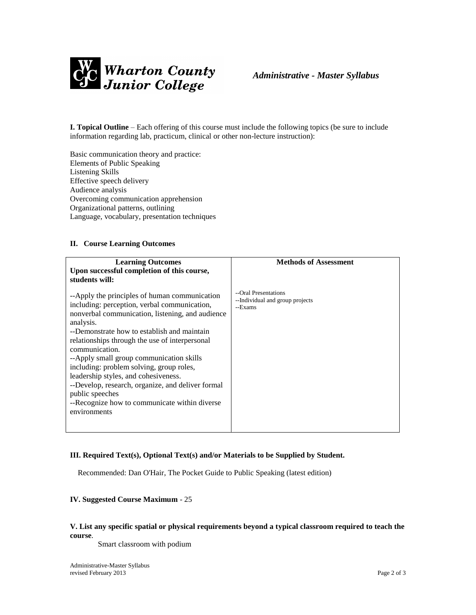

**I. Topical Outline** – Each offering of this course must include the following topics (be sure to include information regarding lab, practicum, clinical or other non-lecture instruction):

Basic communication theory and practice: Elements of Public Speaking Listening Skills Effective speech delivery Audience analysis Overcoming communication apprehension Organizational patterns, outlining Language, vocabulary, presentation techniques

### **II. Course Learning Outcomes**

| <b>Methods of Assessment</b>    |
|---------------------------------|
|                                 |
| --Individual and group projects |
|                                 |

#### **III. Required Text(s), Optional Text(s) and/or Materials to be Supplied by Student.**

Recommended: Dan O'Hair, The Pocket Guide to Public Speaking (latest edition)

## **IV. Suggested Course Maximum** - 25

### **V. List any specific spatial or physical requirements beyond a typical classroom required to teach the course**.

Smart classroom with podium